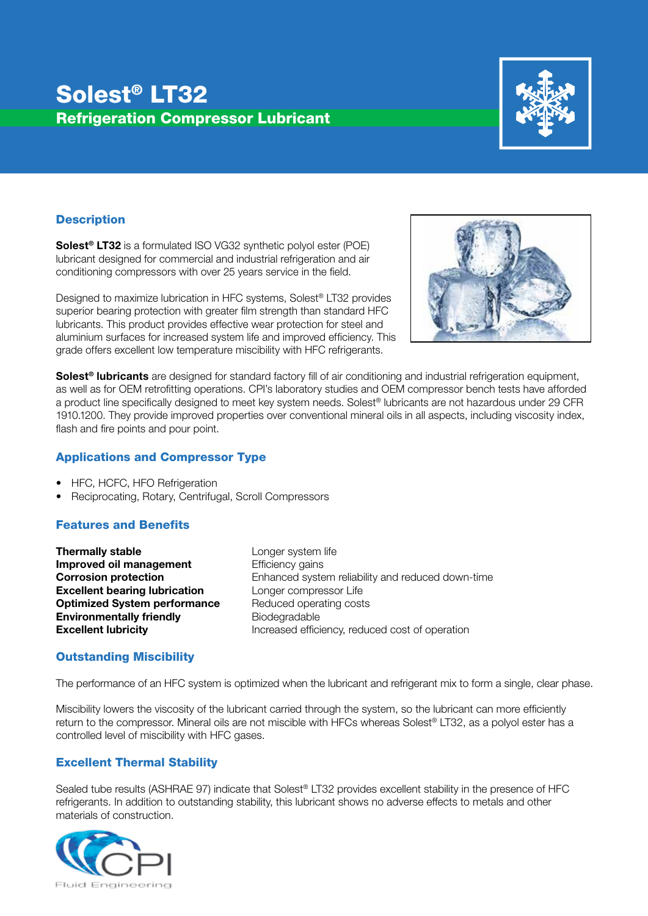# Solest® LT32 Refrigeration Compressor Lubricant



## **Description**

Solest® LT32 is a formulated ISO VG32 synthetic polyol ester (POE) lubricant designed for commercial and industrial refrigeration and air conditioning compressors with over 25 years service in the field.

Designed to maximize lubrication in HFC systems, Solest® LT32 provides superior bearing protection with greater film strength than standard HFC lubricants. This product provides effective wear protection for steel and aluminium surfaces for increased system life and improved efficiency. This grade offers excellent low temperature miscibility with HFC refrigerants.



Solest<sup>®</sup> lubricants are designed for standard factory fill of air conditioning and industrial refrigeration equipment, as well as for OEM retrofitting operations. CPI's laboratory studies and OEM compressor bench tests have afforded a product line specifically designed to meet key system needs. Solest® lubricants are not hazardous under 29 CFR 1910.1200. They provide improved properties over conventional mineral oils in all aspects, including viscosity index, flash and fire points and pour point.

#### Applications and Compressor Type

- HFC, HCFC, HFO Refrigeration
- Reciprocating, Rotary, Centrifugal, Scroll Compressors

# Features and Benefits

**Thermally stable Longer system life Improved oil management** Efficiency gains **Excellent bearing lubrication** Longer compressor Life **Optimized System performance** Reduced operating costs **Environmentally friendly Biodegradable** 

**Corrosion protection** Enhanced system reliability and reduced down-time **Excellent lubricity Increased efficiency, reduced cost of operation** 

#### Outstanding Miscibility

The performance of an HFC system is optimized when the lubricant and refrigerant mix to form a single, clear phase.

Miscibility lowers the viscosity of the lubricant carried through the system, so the lubricant can more efficiently return to the compressor. Mineral oils are not miscible with HFCs whereas Solest® LT32, as a polyol ester has a controlled level of miscibility with HFC gases.

# Excellent Thermal Stability

Sealed tube results (ASHRAE 97) indicate that Solest® LT32 provides excellent stability in the presence of HFC refrigerants. In addition to outstanding stability, this lubricant shows no adverse effects to metals and other materials of construction.